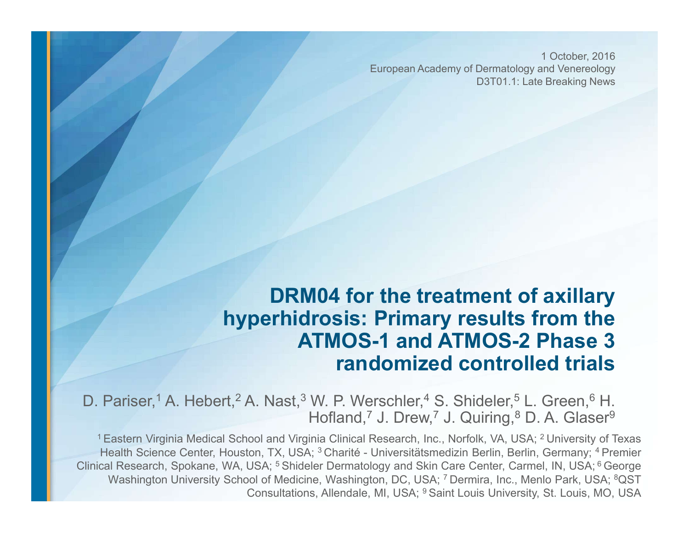1 October, 2016 European Academy of Dermatology and Venereology D3T01.1: Late Breaking News

#### DRM04 for the treatment of axillary hyperhidrosis: Primary results from the ATMOS-1 and ATMOS-2 Phase 3 randomized controlled trials

D. Pariser,<sup>1</sup> A. Hebert,<sup>2</sup> A. Nast,<sup>3</sup> W. P. Werschler,<sup>4</sup> S. Shideler,<sup>5</sup> L. Green,<sup>6</sup> H. Hofland,<sup>7</sup> J. Drew,<sup>7</sup> J. Quiring,<sup>8</sup> D. A. Glaser<sup>9</sup>

<sup>1</sup> Eastern Virginia Medical School and Virginia Clinical Research, Inc., Norfolk, VA, USA; <sup>2</sup> University of Texas **Exatern Virginia Medical School and Virginia Clincal Research, Inc., Norfolk, Center, Science Center, Houston, TX, USA; 3 Charité - Universitätsmedizin Berlin, Berlin, Germany; 4 Premier<br>Fastern Virginia Medical School an Clinical Research, Spokane, WA, USA; <sup>5</sup> Shideler Dermatology and Skin Care Center, Care Center, Houston, TX, USA; <sup>3</sup> Chartie - Universitationed Transport Center, Houston, TX, USA; <sup>3</sup> Chartié - Universitationed Dermatol** Washington University School of Medicine, Washington, DC, USA; 7 Dermira, Inc., Menlo Park, USA; <sup>8</sup>QST Consultations, Allendale, MI, USA; 9 Saint Louis University, St. Louis, MO, USA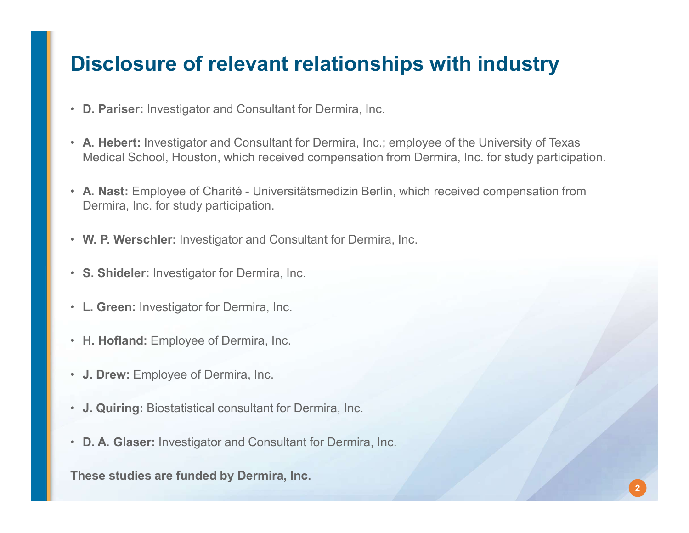### Disclosure of relevant relationships with industry

- D. Pariser: Investigator and Consultant for Dermira, Inc.
- A. Hebert: Investigator and Consultant for Dermira, Inc.; employee of the University of Texas Medical School, Houston, which received compensation from Dermira, Inc. for study participation. **Disclosure of relevant relationships with industry**<br>• D. Pariser: Investigator and Consultant for Dermira, Inc.; employee of the University of Texas<br>Medical School, Houston, which received compensation from Dermira, Inc.
- Dermira, Inc. for study participation. • A. Nast: Employee of Charité - Universitätsmedizin Berlin, which received com<br>
Dermira, Inc. for study participation.<br>
• W. P. Werschler: Investigator and Consultant for Dermira, Inc.<br>
• S. Shideler: Investigator for Der
- W. P. Werschler: Investigator and Consultant for Dermira, Inc.
- S. Shideler: Investigator for Dermira, Inc.
- L. Green: Investigator for Dermira, Inc.
- H. Hofland: Employee of Dermira, Inc.
- J. Drew: Employee of Dermira, Inc.
- 
- 

These studies are funded by Dermira, Inc.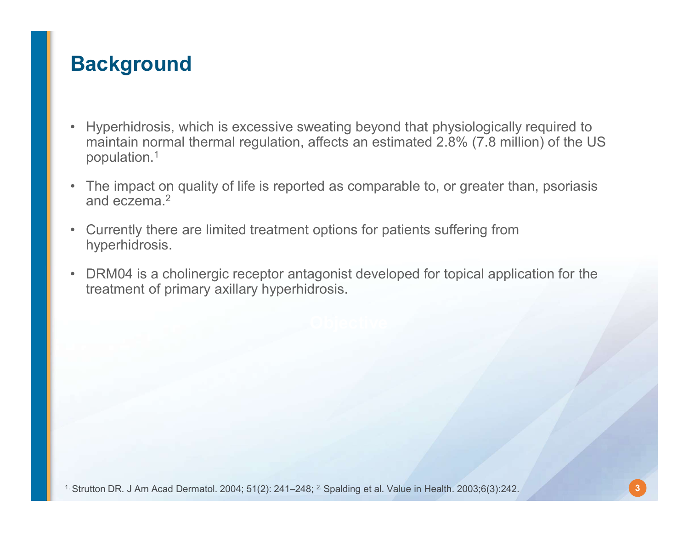# **Background**

- ■<br>• Hyperhidrosis, which is excessive sweating beyond that physiologically required to<br>• maintain normal thermal regulation, affects an estimated 2.8% (7.8 million) of the US<br>• The impact on quality of life is reported as maintain normal thermal regulation, affects an estimated 2.8% (7.8 million) of the US population.1 • Hyperhidrosis, which is excessive sweating beyond that physiologically required to<br>maintain normal thermal regulation, affects an estimated 2.8% (7.8 million) of the US<br>population.<sup>1</sup><br>• The impact on quality of life is r • Hyperhidrosis, which is excessive sweating beyond that physiologically required to<br>maintain normal thermal regulation, affects an estimated 2.8% (7.8 million) of the U:<br>population.1<br>• The impact on quality of life is rep **•** Hyperhidrosis, which is excessive sweating beyond that physiologically required to maintain normal thermal regulation, affects an estimated 2.8% (7.8 million) of the US population.<sup>1</sup><br>• The impact on quality of life is
- and eczema.2
- hyperhidrosis.
- DRM04 is a cholinergic receptor antagonist developed for topical application for the treatment of primary axillary hyperhidrosis.<br>
Strutton DR. J Am Acad Dermatol. 2004; 51(2): 241–248; <sup>2</sup>. Spalding et al. Value in Hea treatment of primary axillary hyperhidrosis.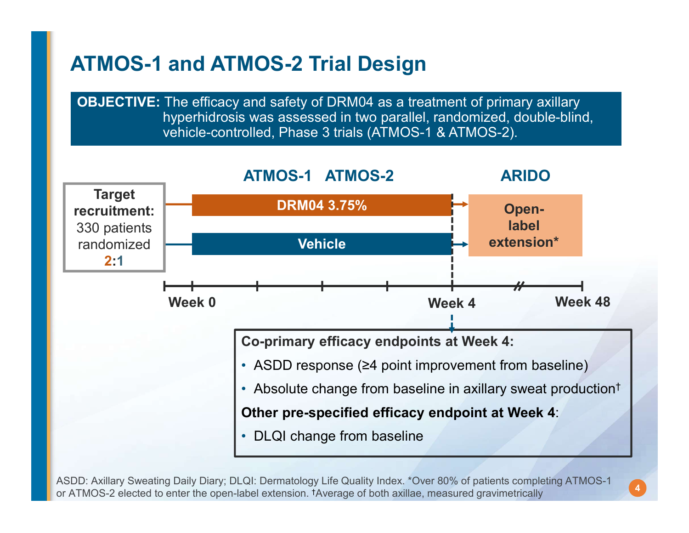# ATMOS-1 and ATMOS-2 Trial Design

OBJECTIVE: The efficacy and safety of DRM04 as a treatment of primary axillary hyperhidrosis was assessed in two parallel, randomized, double-blind, vehicle-controlled, Phase 3 trials (ATMOS-1 & ATMOS-2).



ASDD: Axillary Sweating Daily Diary; DLQI: Dermatology Life Quality Index. \*Over 80% of patients completing ATMOS-1 or ATMOS-2 elected to enter the open-label extension. †Average of both axillae, measured gravimetrically

4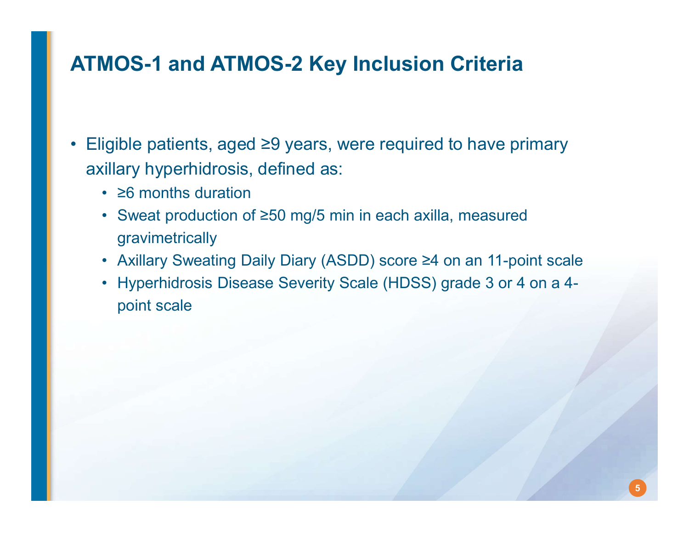# ATMOS-1 and ATMOS-2 Key Inclusion Criteria

- **ATMOS-1 and ATMOS-2 Key Inclusion Criteria**<br>• Eligible patients, aged ≥9 years, were required to have primary<br>axillary hyperhidrosis, defined as:<br>• ≥6 months duration axillary hyperhidrosis, defined as: **MOS-1 and ATMOS-2 Key Inclu**<br>igible patients, aged ≥9 years, were rec<br>illary hyperhidrosis, defined as:<br>• ≥6 months duration<br>• Sweat production of ≥50 mg/5 min in eacl<br>gravimetrically **MOS-1 and ATMOS-2 Key Inclusion Criteria**<br>igible patients, aged ≥9 years, were required to have primary<br>illary hyperhidrosis, defined as:<br>• ≥6 months duration<br>• Sweat production of ≥50 mg/5 min in each axilla, measured<br> **MOS-1 and ATMOS-2 Key Inclusion Criteria**<br>igible patients, aged ≥9 years, were required to have primary<br>illary hyperhidrosis, defined as:<br>• ≥6 months duration<br>• Sweat production of ≥50 mg/5 min in each axilla, measured<br>g **MOS-1 and ATMOS-2 Key Inclusion Criteria**<br>
igible patients, aged ≥9 years, were required to have primary<br>
illary hyperhidrosis, defined as:<br>
• ≥6 months duration<br>
• Sweat production of ≥50 mg/5 min in each axilla, measu
	-
	- gravimetrically
	-
	- point scale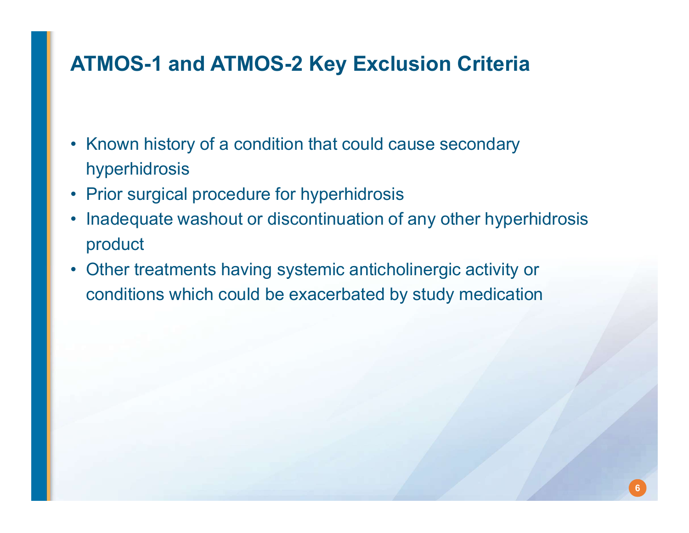# ATMOS-1 and ATMOS-2 Key Exclusion Criteria

- **ATMOS-1 and ATMOS-2 Key Exclusion Criteria**<br>• Known history of a condition that could cause secondary<br>• Prior surgical procedure for hyperhidrosis hyperhidrosis
- 
- ATMOS-1 and ATMOS-2 Key Exclusion Criteria<br>• Known history of a condition that could cause secondary<br>• Prior surgical procedure for hyperhidrosis<br>• Inadequate washout or discontinuation of any other hyperh<br>product **ATMOS-1 and ATMOS-2 Key Exclusion Criteria**<br>• Known history of a condition that could cause secondary<br>• Prior surgical procedure for hyperhidrosis<br>• Inadequate washout or discontinuation of any other hyperhidrosis<br>• Other product **ATMOS-1 and ATMOS-2 Key Exclusion Criteria**<br>• Known history of a condition that could cause secondary<br>hyperhidrosis<br>• Prior surgical procedure for hyperhidrosis<br>• Inadequate washout or discontinuation of any other hyperhi
- conditions which could be exacerbated by study medication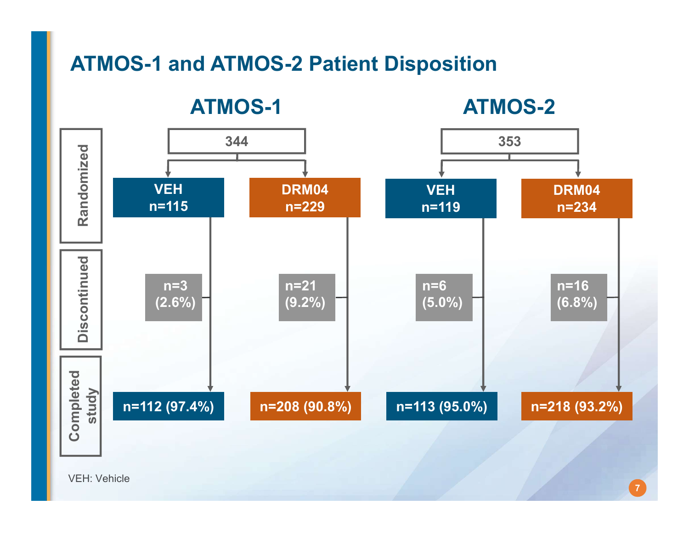# ATMOS-1 and ATMOS-2 Patient Disposition



7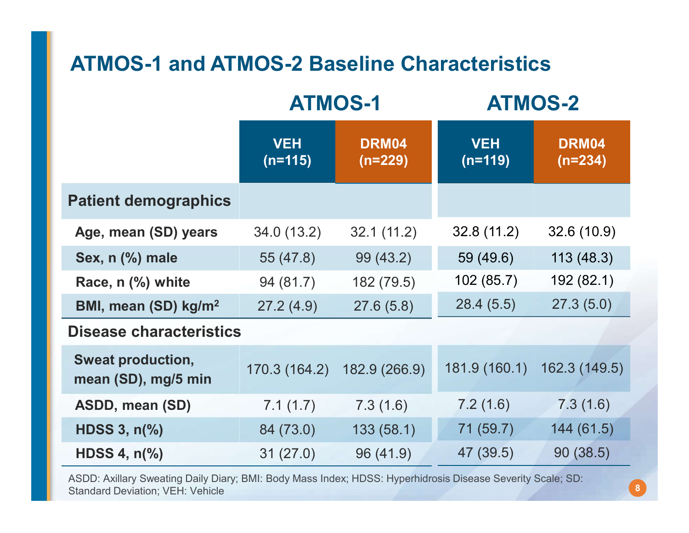# ATMOS-1 and ATMOS-2 Baseline Characteristics

| <b>ATMOS-1 and ATMOS-2 Baseline Characteristics</b> |                         |                  |                         |                    |  |
|-----------------------------------------------------|-------------------------|------------------|-------------------------|--------------------|--|
|                                                     | <b>ATMOS-1</b>          |                  | <b>ATMOS-2</b>          |                    |  |
|                                                     | <b>VEH</b><br>$(n=115)$ | DRM04<br>(n=229) | <b>VEH</b><br>$(n=119)$ | DRM04<br>$(n=234)$ |  |
| <b>Patient demographics</b>                         |                         |                  |                         |                    |  |
| Age, mean (SD) years                                | 34.0(13.2)              | 32.1(11.2)       | 32.8(11.2)              | 32.6(10.9)         |  |
| Sex, n (%) male                                     | 55 (47.8)               | 99 (43.2)        | 59 (49.6)               | 113(48.3)          |  |
| Race, n (%) white                                   | 94 (81.7)               | 182 (79.5)       | 102 (85.7)              | 192 (82.1)         |  |
| BMI, mean (SD) kg/m <sup>2</sup>                    | 27.2(4.9)               | 27.6(5.8)        | 28.4(5.5)               | 27.3(5.0)          |  |
| <b>Disease characteristics</b>                      |                         |                  |                         |                    |  |
| <b>Sweat production,</b><br>mean (SD), mg/5 min     | 170.3 (164.2)           | 182.9 (266.9)    | 181.9 (160.1)           | 162.3 (149.5)      |  |
| ASDD, mean (SD)                                     | 7.1(1.7)                | 7.3(1.6)         | 7.2(1.6)                | 7.3(1.6)           |  |
| HDSS $3, n\%$                                       | 84 (73.0)               | 133 (58.1)       | 71 (59.7)               | 144(61.5)          |  |
| HDSS 4, $n\frac{9}{6}$                              | 31(27.0)                | 96 (41.9)        | 47 (39.5)               | 90(38.5)           |  |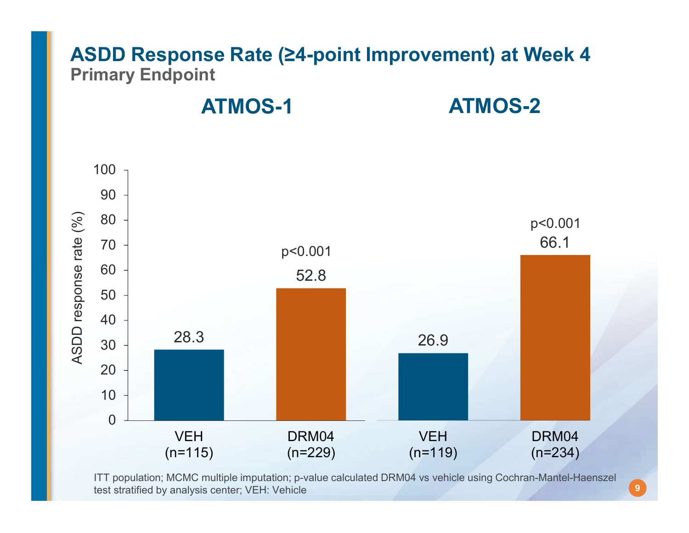#### ASDD Response Rate (≥4-point Improvement) at Week 4 Primary Endpoint

ATMOS-1 ATMOS-2



ITT population; MCMC multiple imputation; p-value calculated DRM04 vs vehicle using Cochran-Mantel-Haenszel

9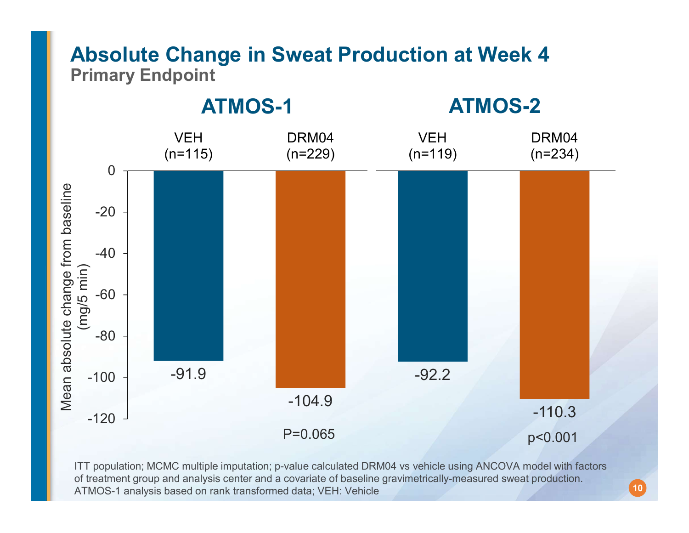#### Absolute Change in Sweat Production at Week 4 Primary Endpoint



ITT population; MCMC multiple imputation; p-value calculated DRM04 vs vehicle using ANCOVA model with factors ATMOS-1 analysis based on rank transformed data; VEH: Vehicle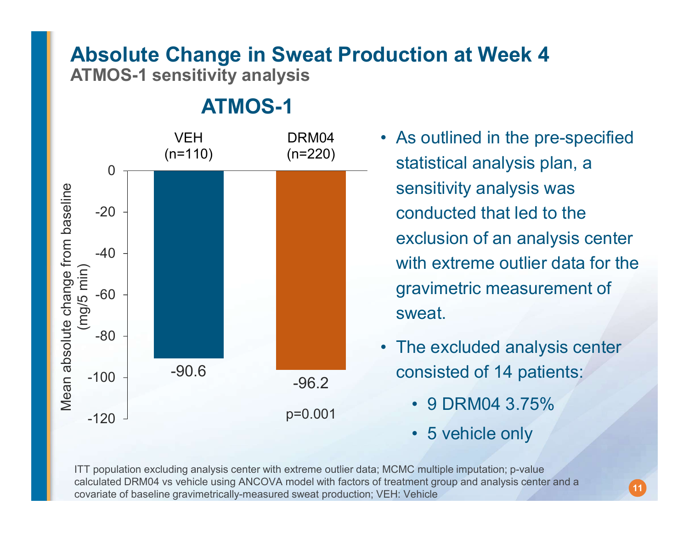# Absolute Change in Sweat Production at Week 4

ATMOS-1 sensitivity analysis

ATMOS-1



- As outlined in the pre-specified **luction at Week 4<br>• As outlined in the pre-specified<br>statistical analysis plan, a<br>sensitivity analysis was** statistical analysis plan, a sensitivity analysis was conducted that led to the exclusion of an analysis center with extreme outlier data for the gravimetric measurement of sweat. • As outlined in the pre-specified<br>statistical analysis plan, a<br>sensitivity analysis was<br>conducted that led to the<br>exclusion of an analysis center<br>with extreme outlier data for the<br>gravimetric measurement of<br>sweat.<br>• The e Fractivity analysis was<br>
inducted that led to the<br>
clusion of an analysis center<br>
th extreme outlier data for the<br>
avimetric measurement of<br>
veat.<br>
ne excluded analysis center<br>
insisted of 14 patients:<br>
• 9 DRM04 3.75%<br>
• inducted that led to the<br>
clusion of an analysis center<br>
th extreme outlier data for the<br>
avimetric measurement of<br>
veat.<br>
ne excluded analysis center<br>
msisted of 14 patients:<br>
• 9 DRM04 3.75%<br>
• 5 vehicle only<br>
• For thi
- consisted of 14 patients:

11

- p=0.001 9 DRM04 3.75%
	-

ITT population excluding analysis center with extreme outlier data; MCMC multiple imputation; p-value covariate of baseline gravimetrically-measured sweat production; VEH: Vehicle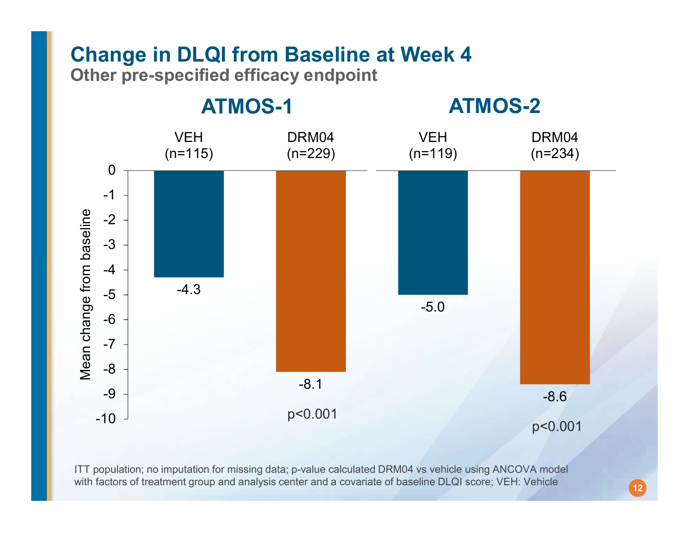# Change in DLQI from Baseline at Week 4

Other pre-specified efficacy endpoint



ITT population; no imputation for missing data; p-value calculated DRM04 vs vehicle using ANCOVA model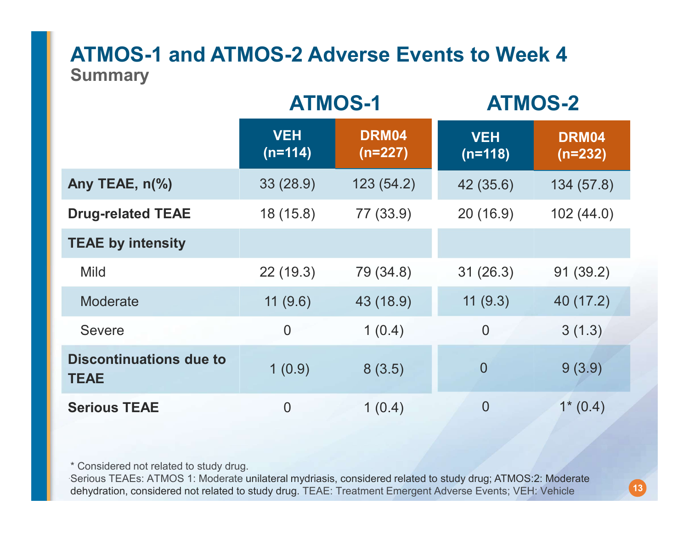#### ATMOS-1 and ATMOS-2 Adverse Events to Week 4 **Summary**

| <b>ATMOS-1 and ATMOS-2 Adverse Events to Week 4</b><br><b>Summary</b> |                         |                    |                         |                    |  |  |
|-----------------------------------------------------------------------|-------------------------|--------------------|-------------------------|--------------------|--|--|
|                                                                       | <b>ATMOS-1</b>          |                    | <b>ATMOS-2</b>          |                    |  |  |
|                                                                       | <b>VEH</b><br>$(n=114)$ | DRM04<br>$(n=227)$ | <b>VEH</b><br>$(n=118)$ | DRM04<br>$(n=232)$ |  |  |
| Any TEAE, n(%)                                                        | 33(28.9)                | 123(54.2)          | 42 (35.6)               | 134(57.8)          |  |  |
| <b>Drug-related TEAE</b>                                              | 18(15.8)                | 77 (33.9)          | 20(16.9)                | 102(44.0)          |  |  |
| <b>TEAE by intensity</b>                                              |                         |                    |                         |                    |  |  |
| <b>Mild</b>                                                           | 22(19.3)                | 79 (34.8)          | 31(26.3)                | 91(39.2)           |  |  |
| Moderate                                                              | 11(9.6)                 | 43 (18.9)          | 11(9.3)                 | 40 (17.2)          |  |  |
| <b>Severe</b>                                                         | $\theta$                | 1(0.4)             | $\boldsymbol{0}$        | 3(1.3)             |  |  |
| <b>Discontinuations due to</b><br><b>TEAE</b>                         | 1(0.9)                  | 8(3.5)             | $\overline{0}$          | 9(3.9)             |  |  |
| <b>Serious TEAE</b>                                                   | $\theta$                | 1(0.4)             | $\boldsymbol{0}$        | $1*(0.4)$          |  |  |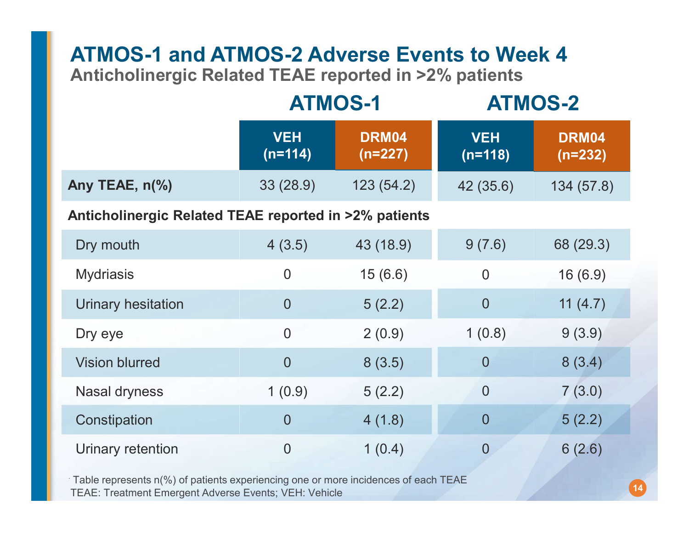# ATMOS-1 and ATMOS-2 Adverse Events to Week 4

|  |  | <b>ATMOS-2</b> |
|--|--|----------------|
|--|--|----------------|

|                                                       |                         | <b>Anticholinergic Related TEAE reported in &gt;2% patients</b><br><b>ATMOS-1</b> | <b>ATMOS-1 and ATMOS-2 Adverse Events to Week 4</b><br><b>ATMOS-2</b> |                    |
|-------------------------------------------------------|-------------------------|-----------------------------------------------------------------------------------|-----------------------------------------------------------------------|--------------------|
|                                                       | <b>VEH</b><br>$(n=114)$ | DRM04<br>(n=227)                                                                  | <b>VEH</b><br>$(n=118)$                                               | DRM04<br>$(n=232)$ |
| Any TEAE, n(%)                                        | 33(28.9)                | 123(54.2)                                                                         | 42 (35.6)                                                             | 134(57.8)          |
| Anticholinergic Related TEAE reported in >2% patients |                         |                                                                                   |                                                                       |                    |
| Dry mouth                                             | 4(3.5)                  | 43 (18.9)                                                                         | 9(7.6)                                                                | 68 (29.3)          |
| <b>Mydriasis</b>                                      | $\overline{0}$          | 15(6.6)                                                                           | $\overline{0}$                                                        | 16(6.9)            |
| Urinary hesitation                                    | $\theta$                | 5(2.2)                                                                            | $\theta$                                                              | 11 $(4.7)$         |
| Dry eye                                               | $\overline{0}$          | 2(0.9)                                                                            | 1(0.8)                                                                | 9(3.9)             |
| <b>Vision blurred</b>                                 | $\overline{0}$          | 8(3.5)                                                                            | $\theta$                                                              | 8(3.4)             |
| <b>Nasal dryness</b>                                  | 1(0.9)                  | 5(2.2)                                                                            | $\theta$                                                              | 7(3.0)             |
| Constipation                                          | $\overline{0}$          | 4(1.8)                                                                            | $\theta$                                                              | 5(2.2)             |
| Urinary retention                                     | $\theta$                | 1(0.4)                                                                            | $\theta$                                                              | 6(2.6)             |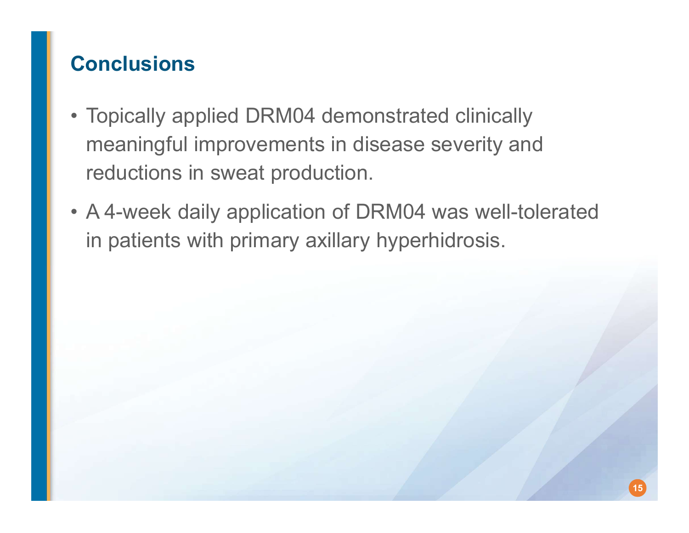# **Conclusions**

- **Conclusions<br>• Topically applied DRM04 demonstrated clinically<br>meaningful improvements in disease severity and<br>reductions in sweat production** meaningful improvements in disease severity and reductions in sweat production. **Conclusions**<br>• Topically applied DRM04 demonstrated clinically<br>meaningful improvements in disease severity and<br>reductions in sweat production.<br>• A 4-week daily application of DRM04 was well-tolerated<br>in patients with prim
- in patients with primary axillary hyperhidrosis.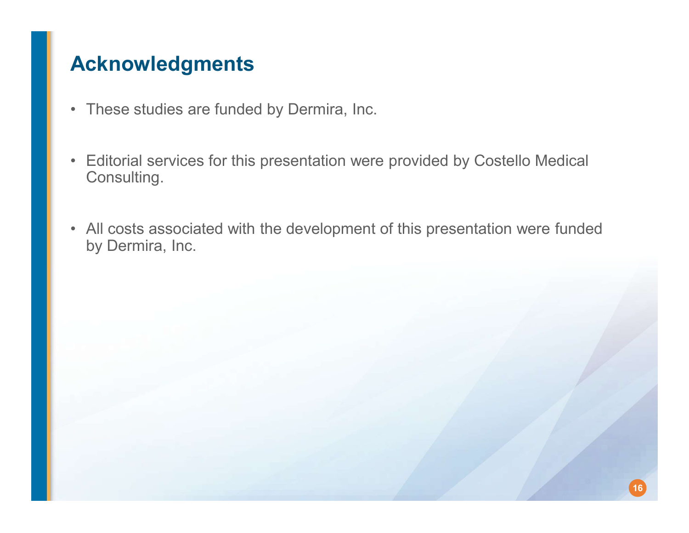# Acknowledgments

- 
- **Acknowledgments<br>• These studies are funded by Dermira, Inc.<br>• Editorial services for this presentation were provided** Acknowledgments<br>• These studies are funded by Dermira, Inc.<br>• Editorial services for this presentation were provided by Costello Medical<br>Consulting. Consulting.
- by Dermira, Inc.

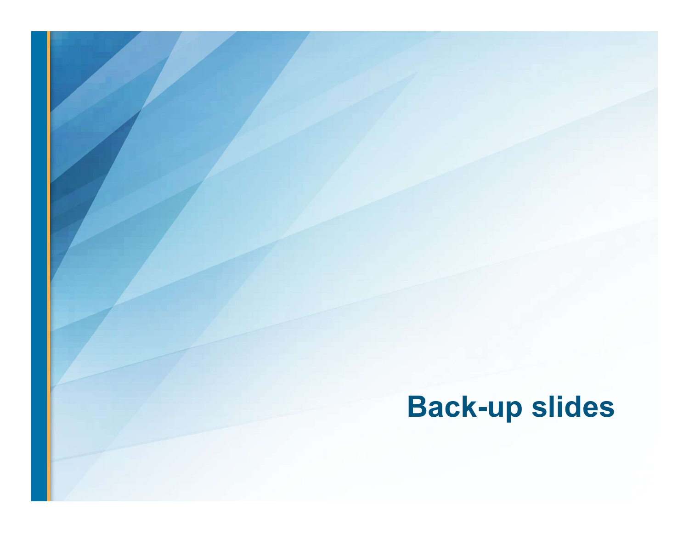# Back-up slides